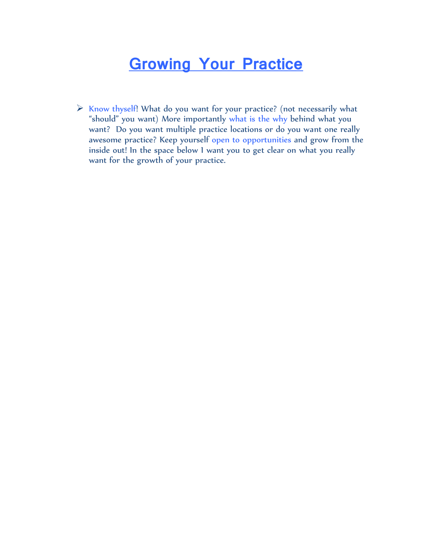$\triangleright$  Know thyself! What do you want for your practice? (not necessarily what "should" you want) More importantly what is the why behind what you want? Do you want multiple practice locations or do you want one really awesome practice? Keep yourself open to opportunities and grow from the inside out! In the space below I want you to get clear on what you really want for the growth of your practice.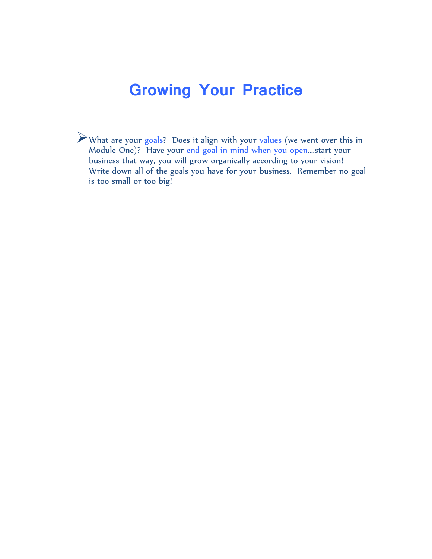What are your goals? Does it align with your values (we went over this in Module One)? Have your end goal in mind when you open….start your business that way, you will grow organically according to your vision! Write down all of the goals you have for your business. Remember no goal is too small or too big!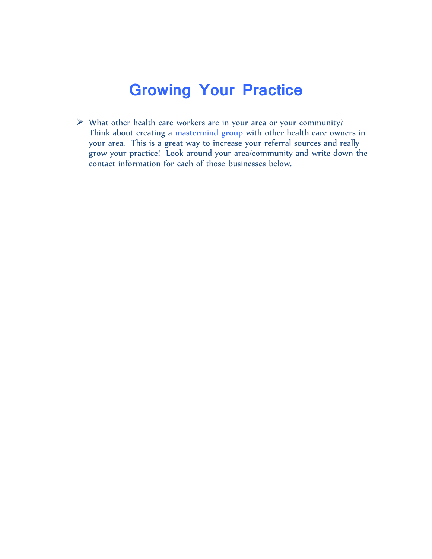What other health care workers are in your area or your community? Think about creating a mastermind group with other health care owners in your area. This is a great way to increase your referral sources and really grow your practice! Look around your area/community and write down the contact information for each of those businesses below.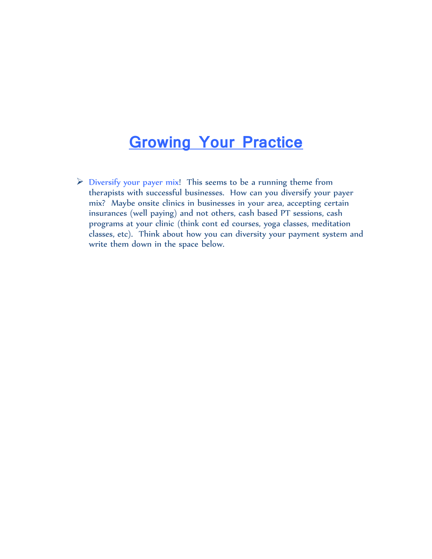$\triangleright$  Diversify your payer mix! This seems to be a running theme from therapists with successful businesses. How can you diversify your payer mix? Maybe onsite clinics in businesses in your area, accepting certain insurances (well paying) and not others, cash based PT sessions, cash programs at your clinic (think cont ed courses, yoga classes, meditation classes, etc). Think about how you can diversity your payment system and write them down in the space below.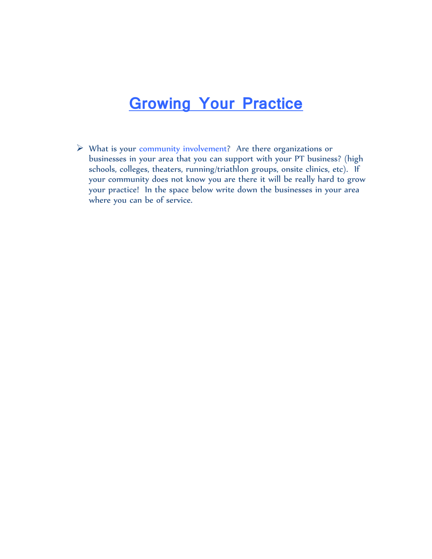$\triangleright$  What is your community involvement? Are there organizations or businesses in your area that you can support with your PT business? (high schools, colleges, theaters, running/triathlon groups, onsite clinics, etc). If your community does not know you are there it will be really hard to grow your practice! In the space below write down the businesses in your area where you can be of service.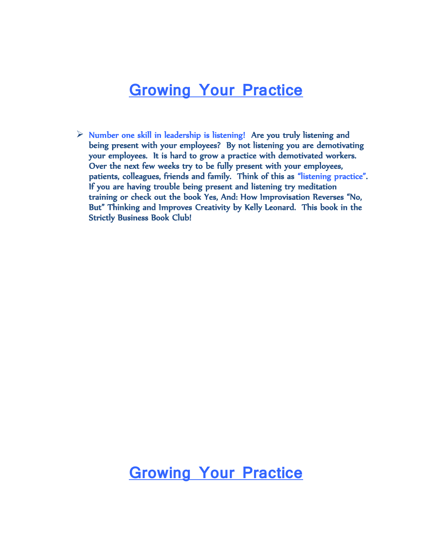$\triangleright$  Number one skill in leadership is listening! Are you truly listening and being present with your employees? By not listening you are demotivating your employees. It is hard to grow a practice with demotivated workers. Over the next few weeks try to be fully present with your employees, patients, colleagues, friends and family. Think of this as "listening practice". If you are having trouble being present and listening try meditation training or check out the book Yes, And: How Improvisation Reverses "No, But" Thinking and Improves Creativity by Kelly Leonard. This book in the Strictly Business Book Club!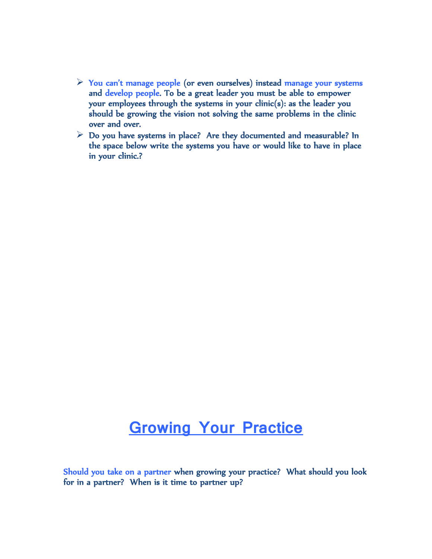- $\triangleright$  You can't manage people (or even ourselves) instead manage your systems and develop people. To be a great leader you must be able to empower your employees through the systems in your clinic(s): as the leader you should be growing the vision not solving the same problems in the clinic over and over.
- $\triangleright$  Do you have systems in place? Are they documented and measurable? In the space below write the systems you have or would like to have in place in your clinic.?

Should you take on a partner when growing your practice? What should you look for in a partner? When is it time to partner up?